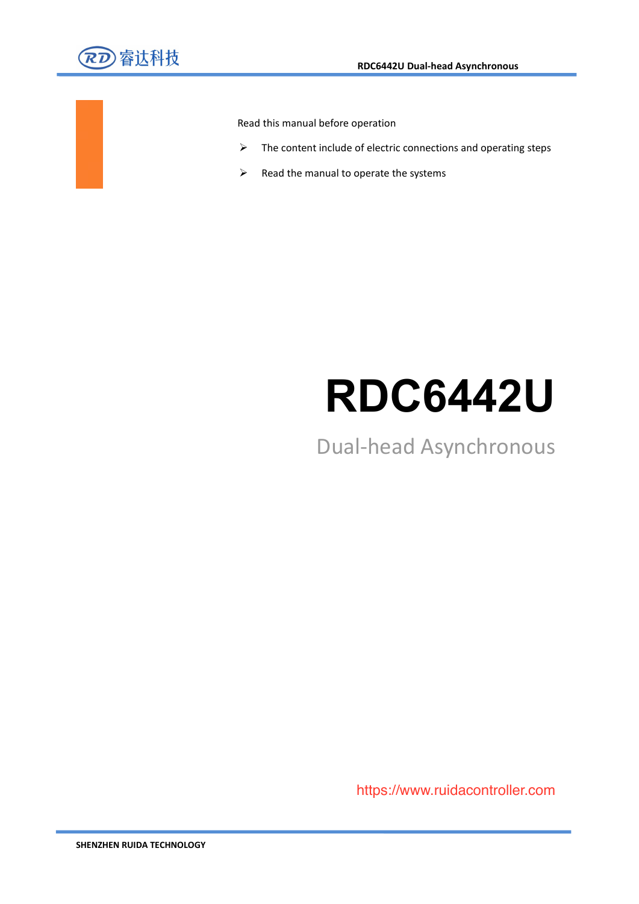

Read this manual before operation

- $\triangleright$  The content include of electric connections and operating steps
- $\triangleright$  Read the manual to operate the systems

# **RDC6442U**

Dual-head Asynchronous

Web: www.rd-acs.com and accessible water and accessible water https://www.ruidacontroller.com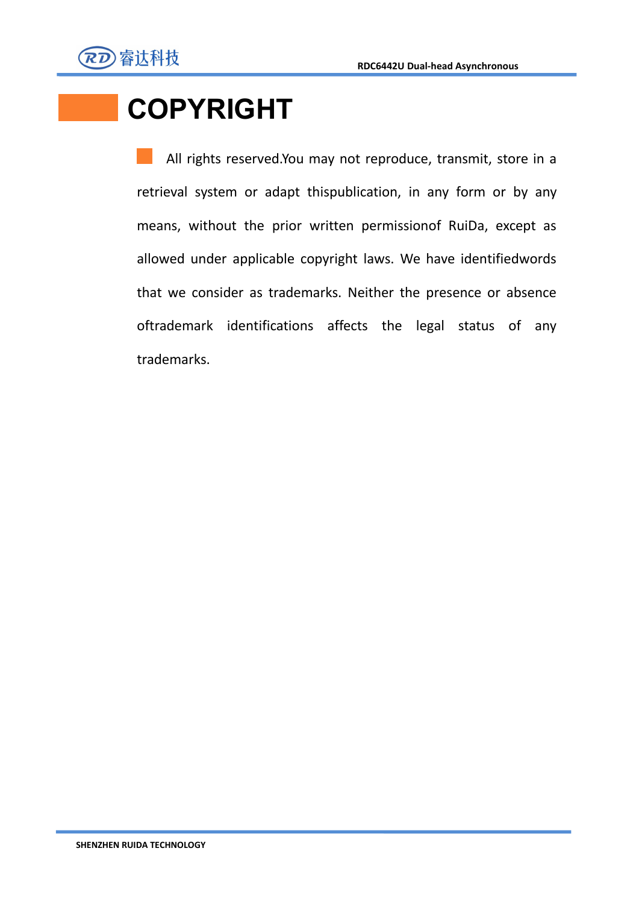

# **COPYRIGHT**

All rights reserved.You may not reproduce, transmit, store in a retrieval system or adapt thispublication, in any form or by any means, without the prior written permissionof RuiDa, except as allowed under applicable copyright laws. We have identifiedwords that we consider as trademarks. Neither the presence or absence oftrademark identifications affects the legal status of any trademarks.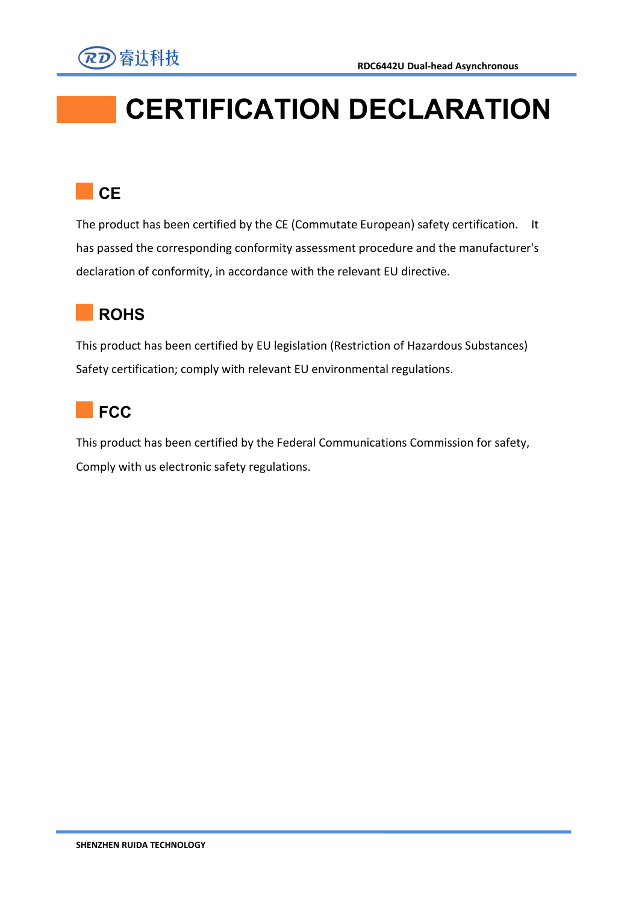

# **CERTIFICATION DECLARATION**

## **CE CE**

The product has been certified by the CE (Commutate European) safety certification. It has passed the corresponding conformity assessment procedure and the manufacturer's declaration of conformity, in accordance with the relevant EU directive.

## **ROHS**

This product has been certified by EU legislation (Restriction of Hazardous Substances) Safety certification; comply with relevant EU environmental regulations.



This product has been certified by the Federal Communications Commission for safety, Comply with us electronic safety regulations.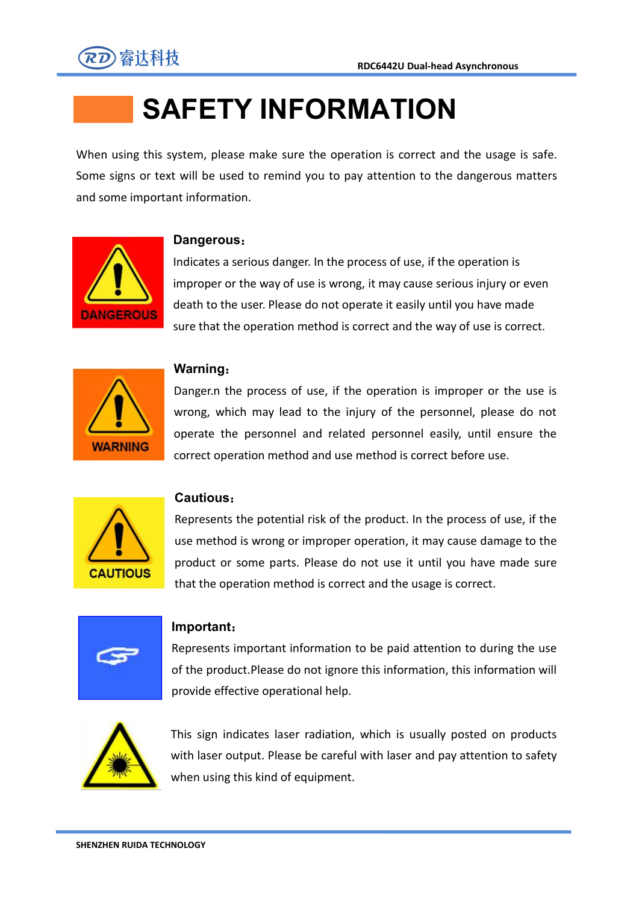

# **SAFETY INFORMATION**

When using this system, please make sure the operation is correct and the usage is safe. Some signs or text will be used to remind you to pay attention to the dangerous matters and some important information.



#### **Dangerous**:

Indicates a serious danger. In the process of use, if the operation is improper or the way of use is wrong, it may cause serious injury or even death to the user. Please do not operate it easily until you have made sure that the operation method is correct and the way of use is correct.



#### **Warning**:

Danger.n the process of use, if the operation is improper or the use is wrong, which may lead to the injury of the personnel, please do not operate the personnel and related personnel easily, until ensure the correct operation method and use method is correct before use.



#### **Cautious**:

Represents the potential risk of the product. In the process of use, if the use method is wrong or improper operation, it may cause damage to the product or some parts. Please do not use it until you have made sure that the operation method is correct and the usage is correct.



#### **Important**:

Represents important information to be paid attention to during the use of the product.Please do not ignore this information, this information will provide effective operational help.



This sign indicates laser radiation, which is usually posted on products with laser output. Please be careful with laser and pay attention to safety when using this kind of equipment.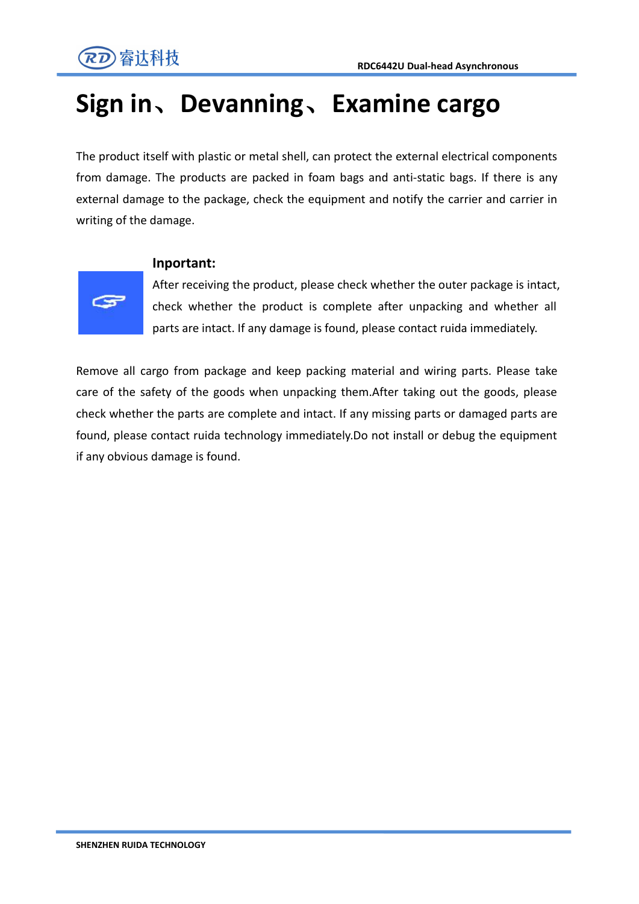

## **Sign in**、**Devanning**、**Examine cargo**

The product itself with plastic or metal shell, can protect the external electrical components from damage. The products are packed in foam bags and anti-static bags. If there is any external damage to the package, check the equipment and notify the carrier and carrier in writing of the damage.



#### **Inportant:**

After receiving the product, please check whether the outer package is intact, check whether the product is complete after unpacking and whether all parts are intact. If any damage is found, please contact ruida immediately.

Remove all cargo from package and keep packing material and wiring parts. Please take care of the safety of the goods when unpacking them.After taking out the goods, please check whether the parts are complete and intact. If any missing parts or damaged parts are found, please contact ruida technology immediately.Do not install or debug the equipment if any obvious damage is found.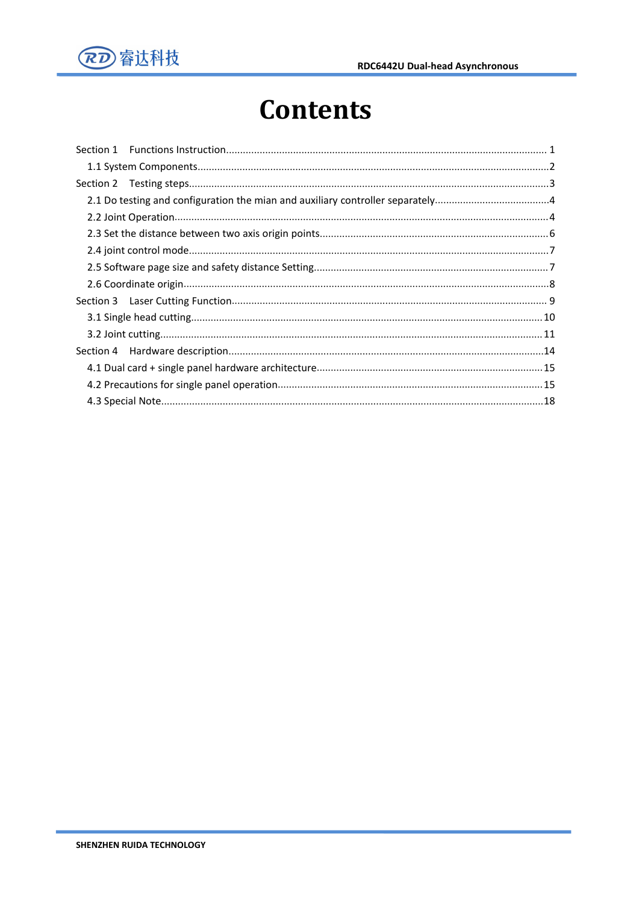

# **Contents**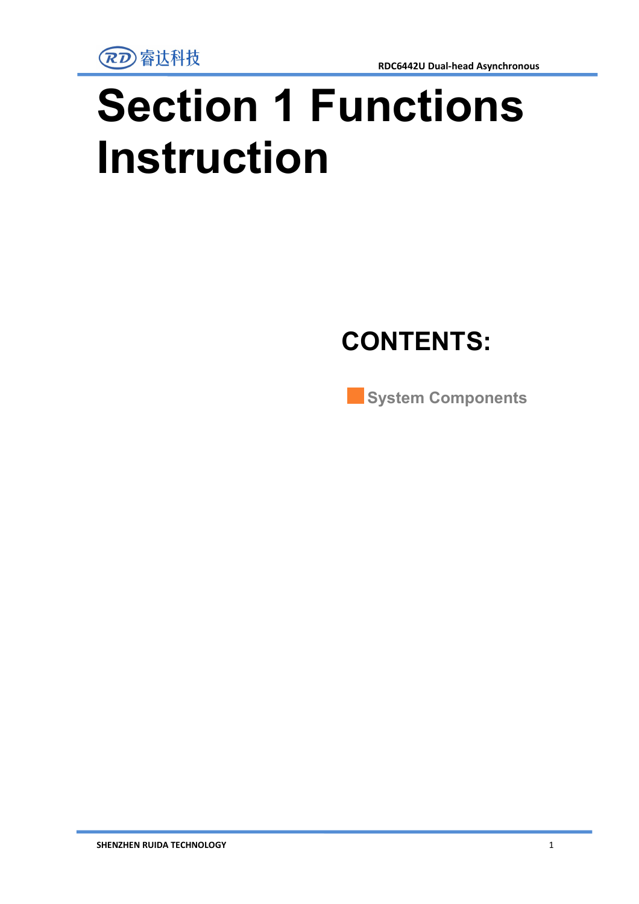

# <span id="page-6-0"></span>**Section 1 Functions Instruction**

# **CONTENTS:**

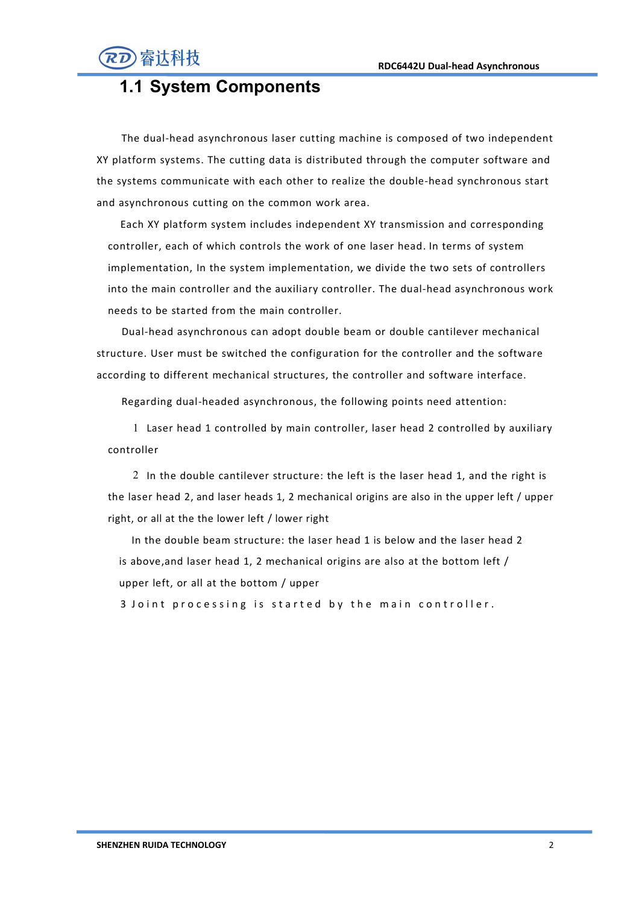

## **1.1 System Components**

The dual-head asynchronous laser cutting machine is composed of two independent XY platform systems. The cutting data is distributed through the computer software and the systems communicate with each other to realize the double-head synchronous start

and asynchronous cutting on the common work area.<br>Each XY platform system includes independent XY transmission and corresponding controller, each of which controls the work of one laser head. In terms of system implementation, In the system implementation, we divide the two sets of controllers into the main controller and the auxiliary controller. The dual-head asynchronous work needs to be started from the main controller.

Dual-head asynchronous can adopt double beam or double cantilever mechanical structure. User must be switched the configuration for the controller and the software according to different mechanical structures, the controller and software interface.

Regarding dual-headed asynchronous, the following points need attention:

1 Laser head 1 controlled by main controller, laser head 2 controlled byauxiliary controller

2 In the double cantilever structure: the left is the laser head 1, and the right is the laser head 2, and laser heads 1, 2 mechanical origins are also in the upper left / upper right, or all at the the lower left / lower right

In the double beam structure: the laser head 1 is below and the laser head 2 is above,and laser head 1, 2 mechanical origins are also at the bottom left / upper left, or all at the bottom / upper

3 Joint processing is started by the main controller.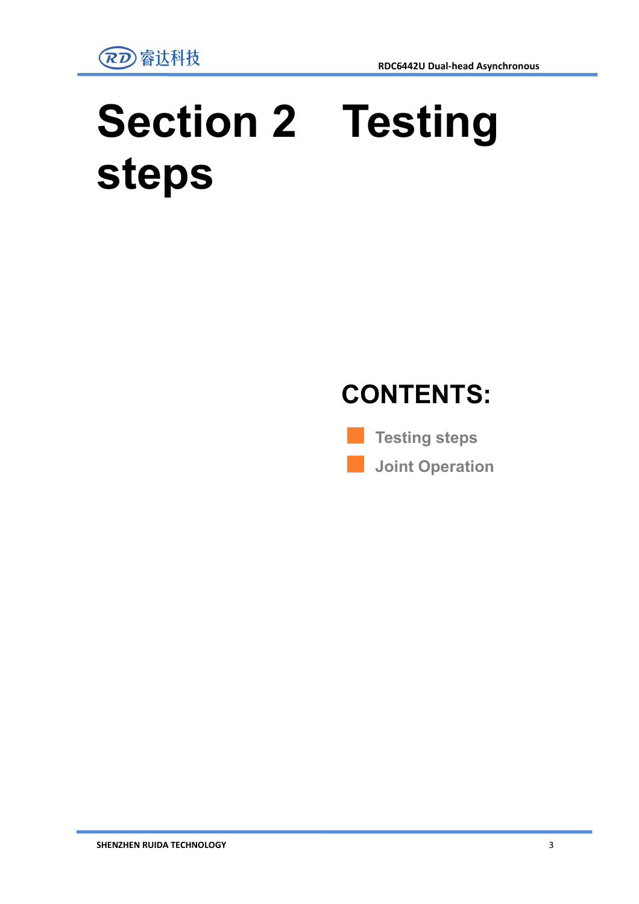

# <span id="page-8-0"></span>**Section 2 Testing steps**



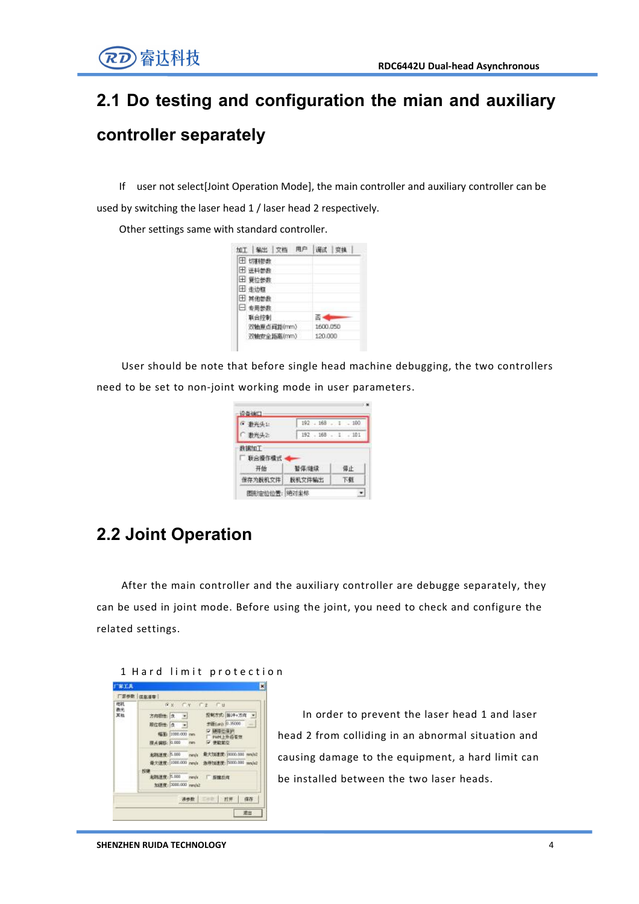## <span id="page-9-0"></span>**2.1 Do testing and configuration the mian and auxiliary controller separately**

<span id="page-9-1"></span>If user not select[Joint Operation Mode], the main controller and auxiliary controller can be

used by switching the laser head 1 / laser head 2 respectively.

Other settings same with standard controller.

| 加工 输出 文档      | 调试       |
|---------------|----------|
| <b>田 切割参数</b> |          |
| 田 送料参数        |          |
| 田 复位参数        |          |
| 田 走边框         |          |
| 田 其他参数        |          |
| □ 专用参数        |          |
| 联合控制          |          |
| 双轴原点间距(mm)    | 1600.050 |
| 双轴安全距离(mm)    | 120,000  |

User should be note that before single head machine debugging, the two controllers need to be set to non-joint working mode in user parameters.

| • 教光头上           | 192.168.1.1.100 |    |
|------------------|-----------------|----|
| 一 数光头之           | 192.168.1.101   |    |
| 非据加工<br>□ 联合操作模式 |                 |    |
| 开始               | 暂停健绿            | 停止 |

## **2.2 Joint Operation**

<span id="page-9-2"></span>After the main controller and the auxiliary controller are debugge separately, they can be used in joint mode. Before using the joint, you need to check and configure the related settings.

#### 1 Hard limit protection



In order to prevent the laser head 1 and laser head 2 from colliding in an abnormal situation and causing damage to the equipment, a hard limit can be installed between the two laser heads.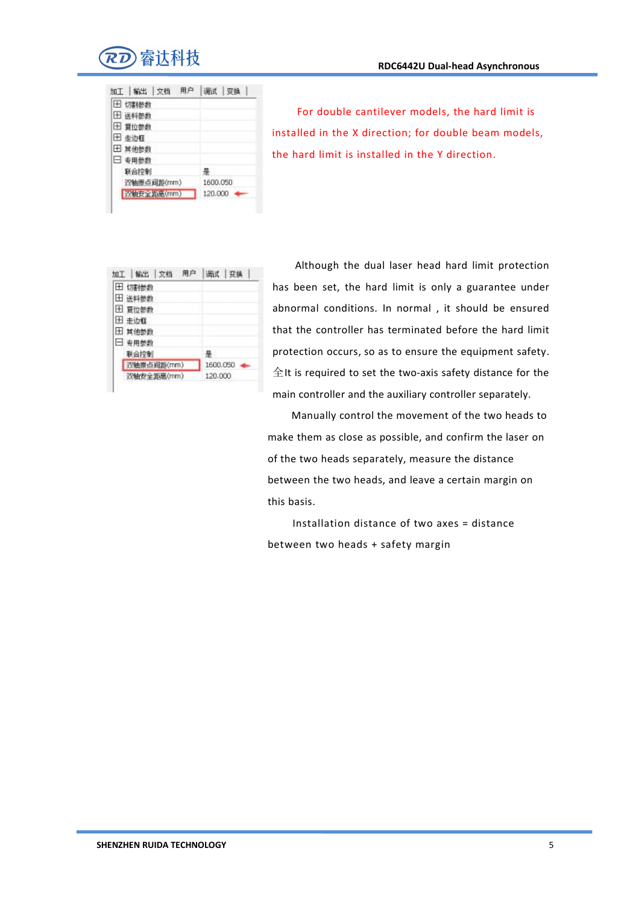

| 加工 输出 文档          | <b>通式 变换</b> |
|-------------------|--------------|
| 田 切割参数            |              |
| 田 送料参数            |              |
| 田 夏位参数            |              |
| 田 走边框             |              |
| 田 算佛参数            |              |
| □ 专用参数            |              |
| 联合控制              | ÷            |
| 双轴原点间距(mm)        | 1600.050     |
| <b>放轴安全拒责(mm)</b> | 120,000      |

For double cantilever models, the hard limit is installed in the X direction; for double beam models, the hard limit is installed in the Y direction.

| 加工 输出 文档<br>用户 | 调试   变换  |
|----------------|----------|
| 田 切割参数         |          |
| 田 送料参数         |          |
| 田 夏位参数         |          |
| 田 走边框          |          |
| 田 其他参数         |          |
| ■ 专用参数         |          |
| 联合控制           | 景        |
| 双轴原点间距(mm)     | 1600.050 |
| 双轴安全距离(mm)     | 120,000  |

Although the dual laser head hard limit protection has been set, the hard limit is only a guarantee under abnormal conditions. In normal , it should be ensured that the controller has terminated before the hard limit protection occurs, so as to ensure the equipment safety.  $\triangle$ It is required to set the two-axis safety distance for the main controller and the auxiliary controller separately.

Manually control the movement of the two heads to make them as close as possible, and confirm the laser on of the two heads separately, measure the distance between the two heads, and leave a certain margin on this basis.

Installation distance of two axes = distance between two heads + safety margin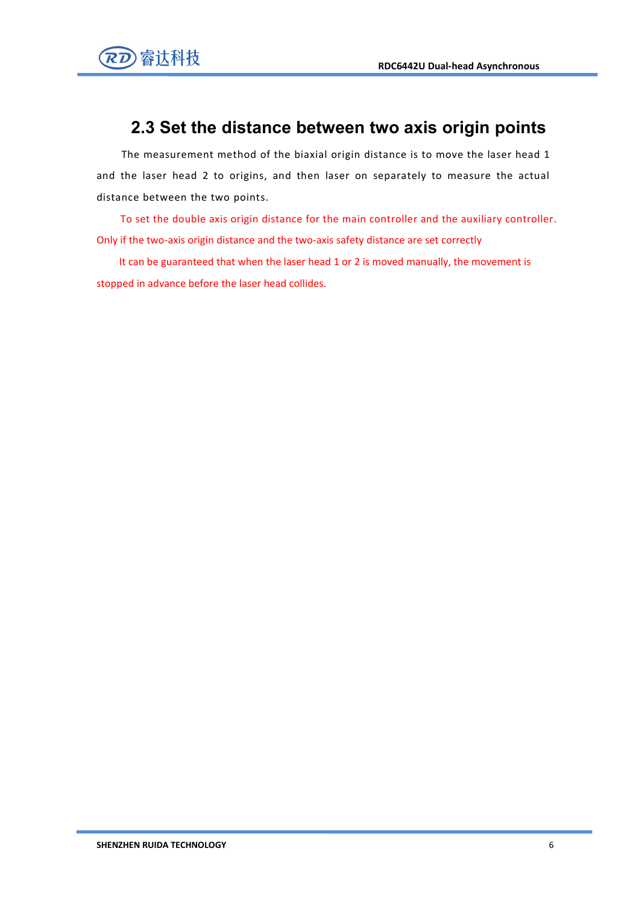

### **2.3 Set the distance between two axis origin points**

The measurement method of the biaxial origin distance is to move the laser head 1 and the laser head 2 to origins, and then laser on separately to measure the actual distance between the two points.

To set the double axis origin distance for the main controller and the auxiliary controller. Only if the two-axis origin distance and the two-axis safety distance are set correctly

It can be guaranteed that when the laser head 1 or 2 is moved manually, the movement is stopped in advance before the laser head collides.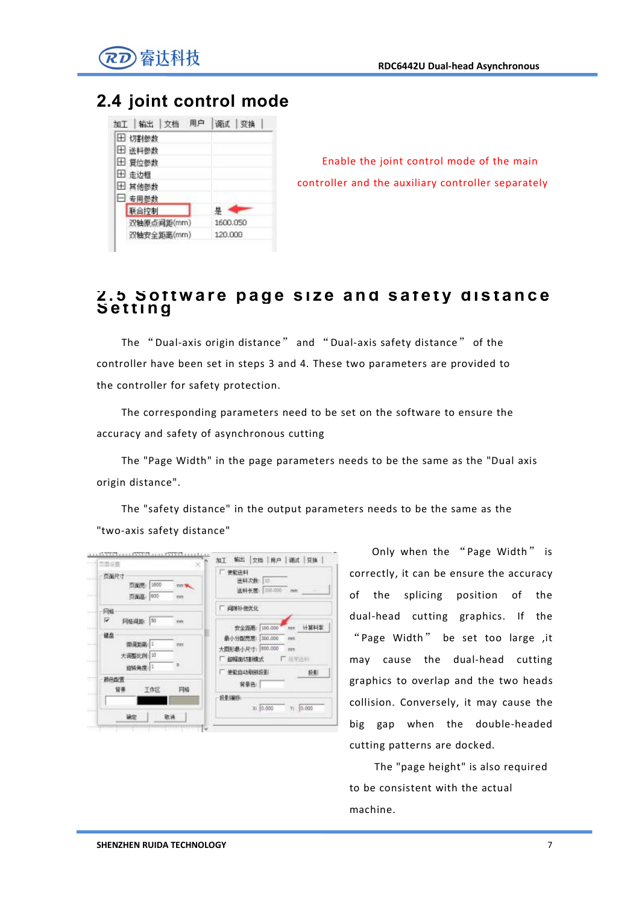

## **2.4 joint control mode**

| 调试 变换    |
|----------|
|          |
|          |
|          |
|          |
|          |
|          |
| 疂        |
| 1600.050 |
| 120,000  |
|          |

Enable the joint control mode of the main controller and the auxiliary controller separately

# 2.5 Sottware page size and satety distance<br>Setting

The "Dual-axis origin distance" and "Dual-axis safety distance" of the controller have been set in steps 3 and 4. These two parameters are provided to the controller for safety protection.

The corresponding parameters need to be set on the software to ensure the accuracy and safety of asynchronous cutting

The "Page Width" in the page parameters needs to be the same as the "Dual axis origin distance".

The "safety distance" in the output parameters needs to be the same as the "two-axis safety distance"



Only when the "Page Width" is correctly, it can be ensure the accuracy of the splicing position of the dual-head cutting graphics. If the "Page Width" be set too large ,it may cause the dual-head cutting graphics to overlap and the two heads collision. Conversely, it may cause the big gap when the double-headed cutting patterns are docked.

The "page height" is also required to be consistent with the actual machine.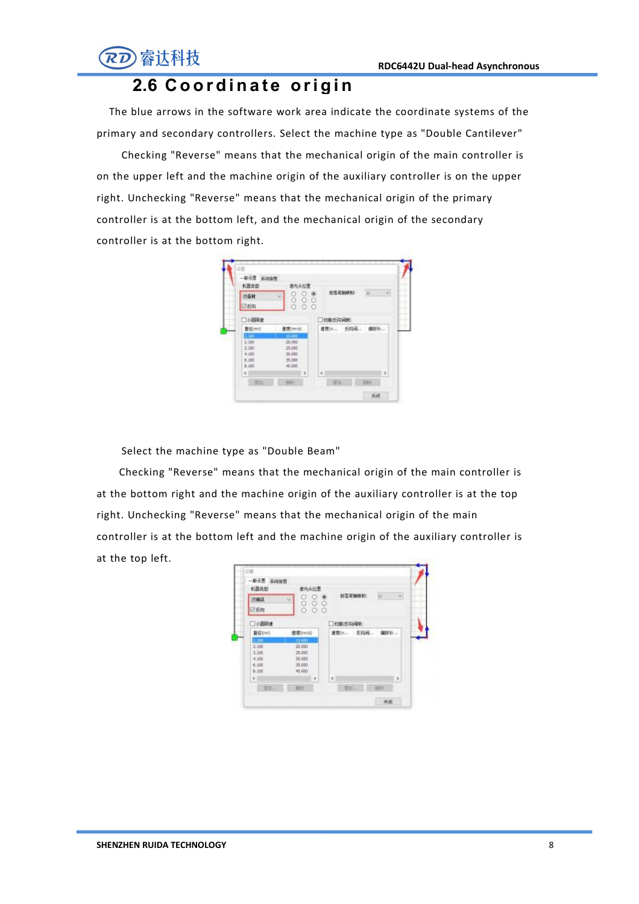

### **2.6 C o o r d i n a t e ori g i n**

The blue arrows in the software work area indicate the coordinate systems of the primary and secondary controllers. Select the machine type as "Double Cantilever"

Checking "Reverse" means that the mechanical origin of the main controller is on the upper left and the machine origin of the auxiliary controller is on the upper right. Unchecking "Reverse" means that the mechanical origin of the primary controller is at the bottom left, and the mechanical origin of the secondary controller is at the bottom right.



Select the machine type as "Double Beam"

Checking "Reverse" means that the mechanical origin of the main controller is at the bottom right and the machine origin of the auxiliary controller is at the top right. Unchecking "Reverse" means that the mechanical origin of the main controller is at the bottom left and the machine origin of the auxiliary controller is at the top left.

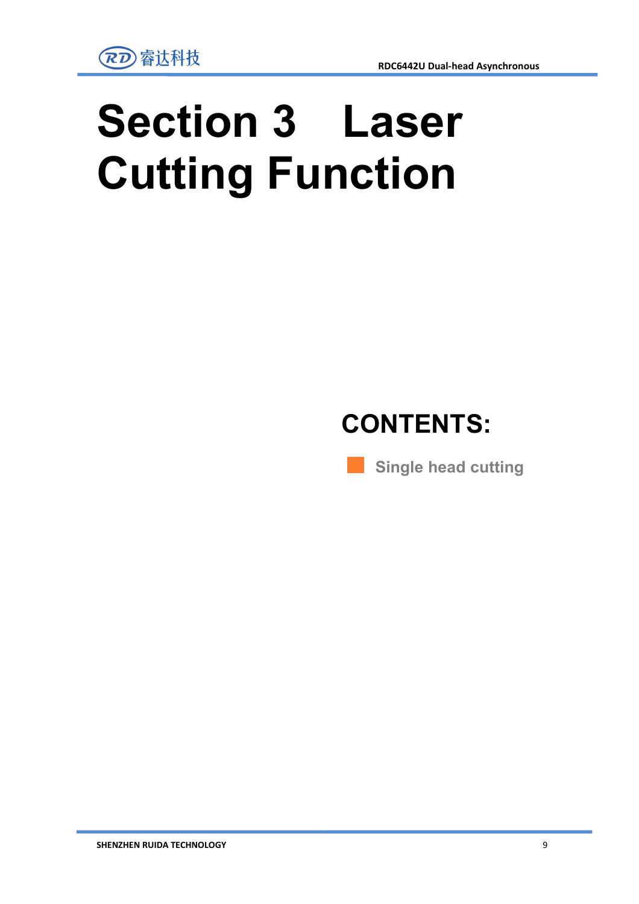# **Section 3 Laser Cutting Function**



**Single head cutting**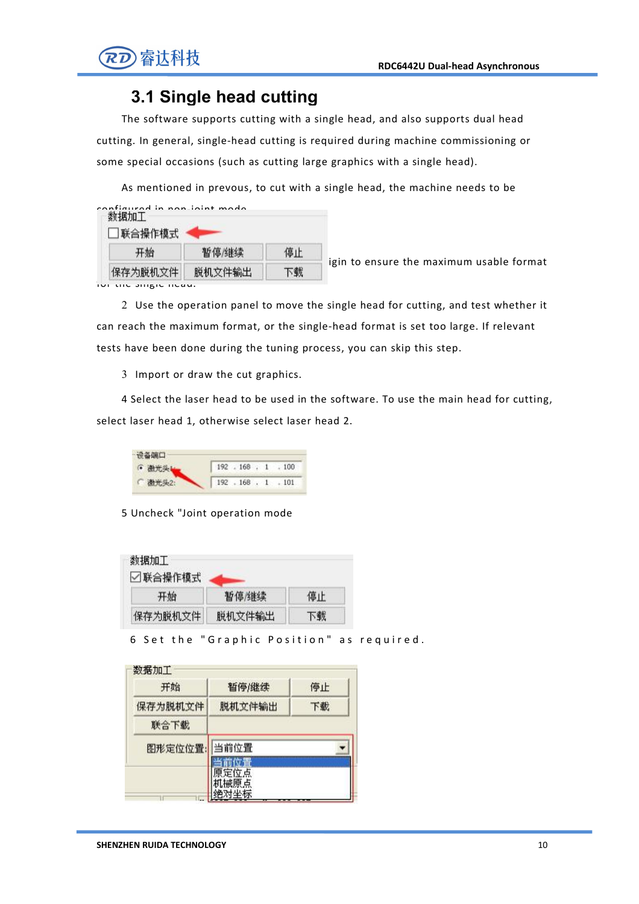

### **3.1 Single head cutting**

The software supports cutting with a single head, and also supports dual head cutting. In general, single-head cutting is required during machine commissioning or some special occasions (such as cutting large graphics with a single head).

As mentioned in prevous, to cut with asingle head, the machine needs to be

| configurad in non joint made<br><b> 联合操作模式</b> |        |    |
|------------------------------------------------|--------|----|
| 开始                                             | 暂停继续   | 信止 |
| 保存为脱机文件                                        | 脱机文件输出 |    |

1 I Move the maximum usable format

for the single head.

2 Use the operation panel to move the single head for cutting, and test whether it can reach the maximum format, or the single-head format is set too large. If relevant tests have been done during the tuning process, you can skip this step.

3 Import or draw the cut graphics.

4 Select the laser head to be used in the software.To use the main head for cutting, select laser head 1, otherwise select laser head 2.

| 设备端口   |                 |
|--------|-----------------|
| • 激光头上 | 192.168.1.100   |
| 做元头2:  | 192.168.1.1.101 |

5 Uncheck "Joint operation mode

| 数据加工<br>☑联合操作模式 |        |    |
|-----------------|--------|----|
| 开始              | 暂停/继续  | 停止 |
| 保存为脱机文件         | 脱机文件输出 | 下载 |

6 Set the "Graphic Position" as required.

| 开始      | 暂停/继续  | 停止 |
|---------|--------|----|
| 保存为脱机文件 | 脱机文件输出 | 下载 |
| 联合下载    |        |    |
| 图形定位位置: | 当前位置   |    |
|         | 定位点    |    |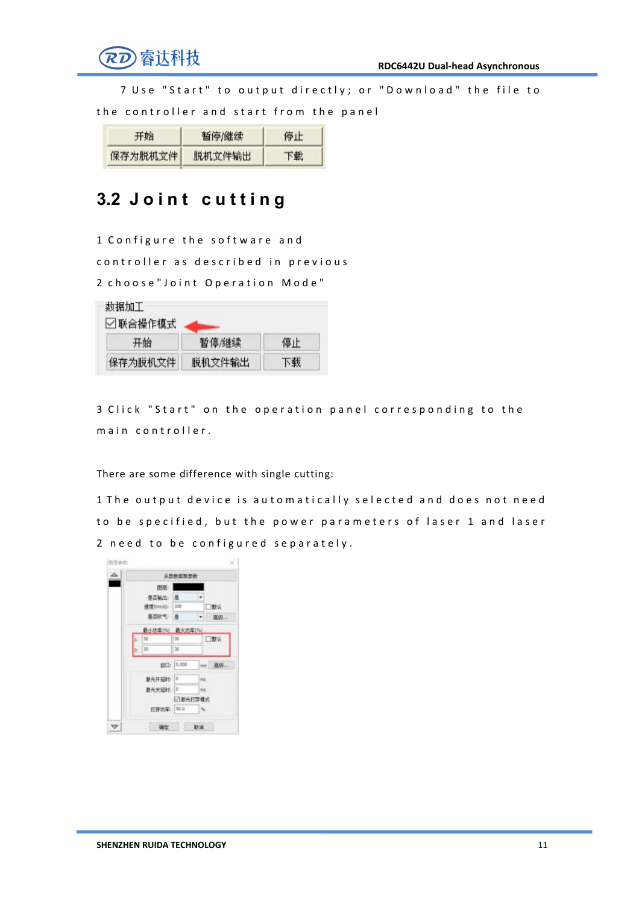

7 Use "Start" to output directly; or "Download" the file to

the controller and start from the panel

| 开始      | 暂停/继续  | 停止 |
|---------|--------|----|
| 保存为脱机文件 | 脱机文件输出 | 下载 |

## **3.2 J o i n t c u t t in g**

1 Configure the software and controller as described in previous 2 choose" Joint Operation Mode"

| 数据加工<br>☑联合操作模式 |        |    |
|-----------------|--------|----|
| 开始              | 暂停/继续  | 停止 |
| 保存为脱机文件         | 脱机文件输出 | 下载 |

3 Click "Start" on the operation panel corresponding to the main controller.

There are some difference with single cutting:

1 The output device is automatically selected and does not need to be specified, but the power parameters of laser 1 and laser 2 need to be configured separately.

| △  | 从参数库制参数              |           |     |                             |  |  |
|----|----------------------|-----------|-----|-----------------------------|--|--|
|    | 图层:                  |           |     |                             |  |  |
|    | 是否确定 是               |           |     |                             |  |  |
|    | <b>使度(mm)(c) 100</b> |           |     | □默认                         |  |  |
|    | 是否吹气 县               |           | ×   | 高级                          |  |  |
|    | 最小功率(%) 最大功率(%)      |           |     |                             |  |  |
| E  | 30                   | $\infty$  |     | □默认                         |  |  |
| Þ. | 30                   | 30        |     |                             |  |  |
|    |                      | 制口: 0.000 |     | -- 高级                       |  |  |
|    | 新光开照时: 0             |           | ins |                             |  |  |
|    | 数光关键时: 0             |           | m   |                             |  |  |
|    |                      | □激光打穿模式   |     |                             |  |  |
|    | 打穿功率: 50.0           |           |     | $\mathbf{Q}_{\mathbf{r}}$ . |  |  |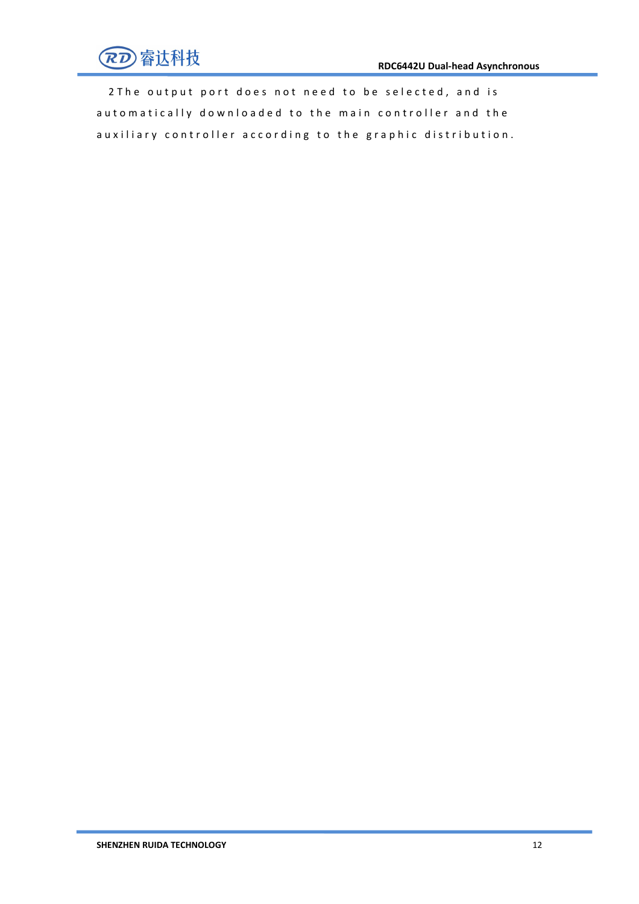

2 The output port does not need to be selected, and is automatically downloaded to the main controller and the auxiliary controller according to the graphic distribution.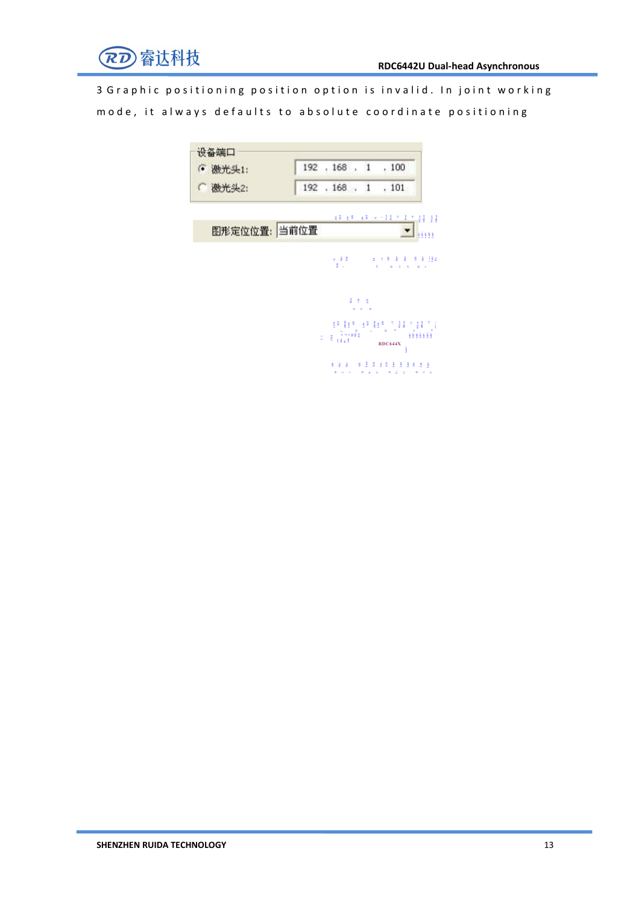

3 G r a p h i c p o siti o n in g p o siti o n o p ti o n is invalid. In joint w or king mode, it always defaults to absolute coordinate positioning

| 设备端口<br><b>6 激光头1:</b> |                                                                                                            |                        | 192 . 168 . 1 . 100        |              |
|------------------------|------------------------------------------------------------------------------------------------------------|------------------------|----------------------------|--------------|
| (微光头2:                 |                                                                                                            |                        | 192 . 168 . 1 . 101        |              |
|                        |                                                                                                            |                        |                            |              |
| 图形定位位置: 当前位置           |                                                                                                            |                        |                            | <b>NESSE</b> |
|                        |                                                                                                            |                        |                            |              |
|                        | 2.7<                                                                                                       | <b>Contract Street</b> | $\mathbb{R}^2$<br>ò.<br>ă. | $\sim$       |
|                        |                                                                                                            | ます き                   |                            |              |
|                        |                                                                                                            | $-2$                   |                            |              |
|                        | $\pi = \mathbf{g} - \frac{\mathbf{g}}{\mathbf{g} \cdot \mathbf{g} \cdot \mathbf{g}} \mathbf{g} \mathbf{g}$ |                        |                            | 1111111      |
|                        |                                                                                                            |                        | <b>RDC644X</b><br>ŝ        |              |

OUT 2 OUT 2 OUT 2 OUT 2 OUT 2 OUT 2 OUT 2 OUT 2 OUT 2 OUT 2 OUT 2 OUT 2 OUT 2 OUT 2 OUT 2 OUT 2 OUT 2 OUT 2 OU<br>DIE 10 OUT 2 OUT 2 OUT 2 OUT 2 OUT 2 OUT 2 OUT 2 OUT 2 OUT 2 OUT 2 OUT 2 OUT 2 OUT 2 OUT 2 OUT 2 OUT 2 OUT 2 O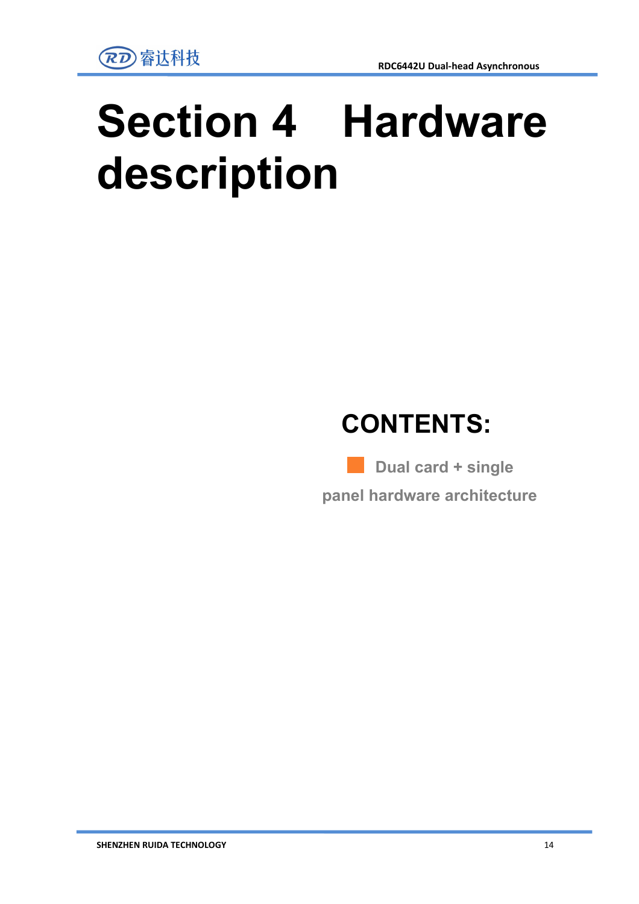# **Section 4 Hardware description**

# **CONTENTS:**

**Dual card + single panel hardware architecture**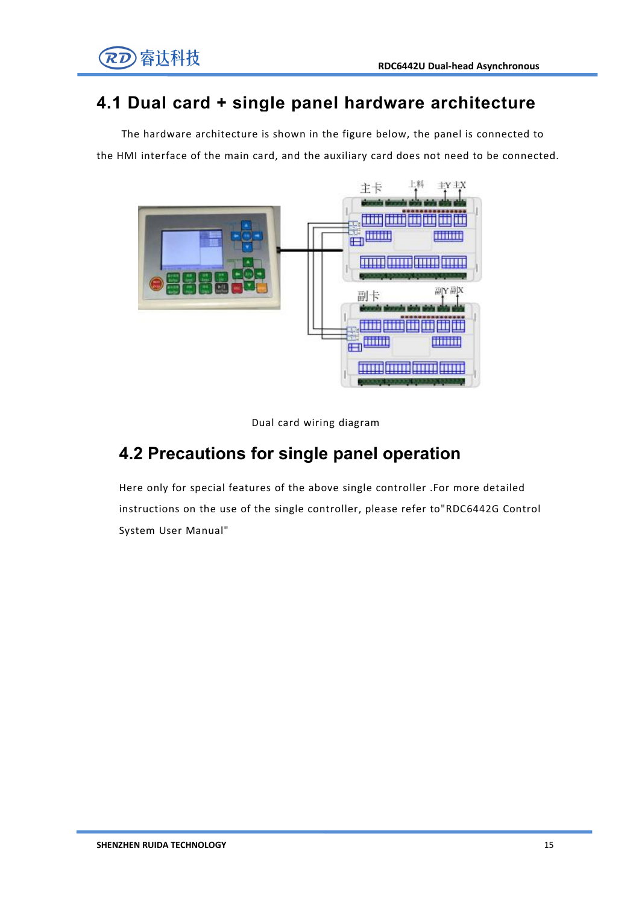

### **4.1 Dual card + single panel hardware architecture**

The hardware architecture is shown in the figure below, the panel is connected to the HMI interface of the main card, and the auxiliary card does not need to be connected.



Dual card wiring diagram

## **4.2 Precautions for single panel operation**

Here only for special features of the above single controller .For more detailed instructions on the use of the single controller, please refer to"RDC6442G Control System User Manual"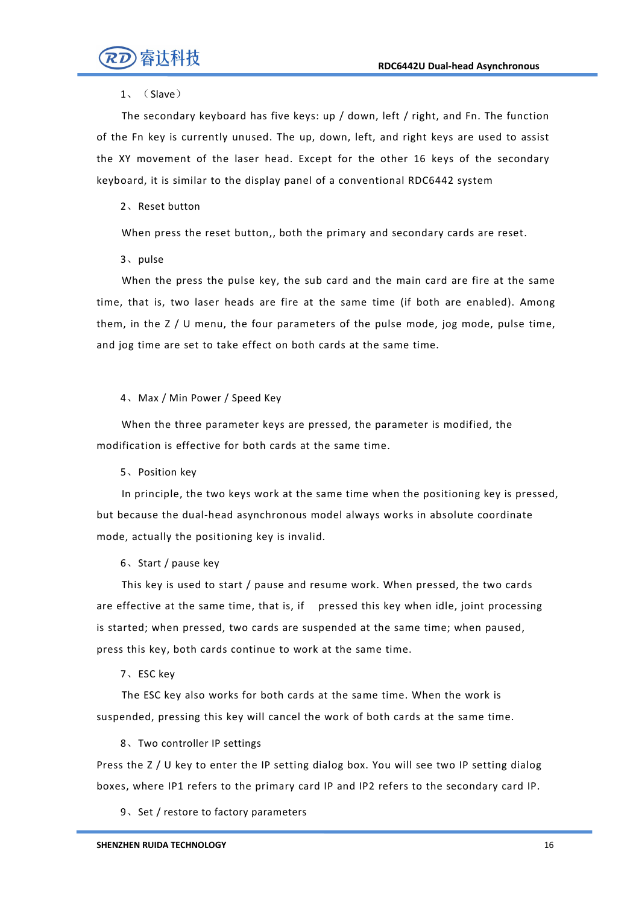

#### 1、(Slave)

The secondary keyboard has five keys: up / down, left / right, and Fn. The function of the Fn key is currently unused. The up, down, left, and right keys are used to assist the XY movement of the laser head. Except for the other 16 keys of the secondary keyboard, it is similar to the display panel of a conventional RDC6442 system

#### 2、Reset button

When press the reset button,, both the primary and secondary cards are reset.

#### 3、pulse

When the press the pulse key, the sub card and the main card are fire at the same time, that is, two laser heads are fire at the same time (if both are enabled). Among them, in the Z / U menu, the four parameters of the pulse mode, jog mode, pulse time, and jog time are set to take effect on both cards at the same time.

#### 4、Max / Min Power / Speed Key

When the three parameter keys are pressed, the parameter is modified, the modification is effective for both cards at the same time.

5、Position key

In principle, the two keys work at the same time when the positioning key is pressed, but because the dual-head asynchronous model always works in absolute coordinate mode, actually the positioning key is invalid.

#### 6、Start / pause key

This key is used to start / pause and resume work. When pressed, the two cards are effective at the same time, that is, if pressed this key when idle, joint processing is started; when pressed, two cards are suspended at the same time; when paused, press this key, both cards continue to work at the same time.

#### 7、ESC key

The ESC key also works for both cards at the same time. When the work is suspended, pressing this key will cancel the work of both cards at the same time.

8、Two controller IP settings

Press the Z / U key to enter the IP setting dialog box. You will see two IP setting dialog boxes, where IP1 refers to the primary card IP and IP2 refers to the secondary card IP.<br>9、Set / restore to factory parameters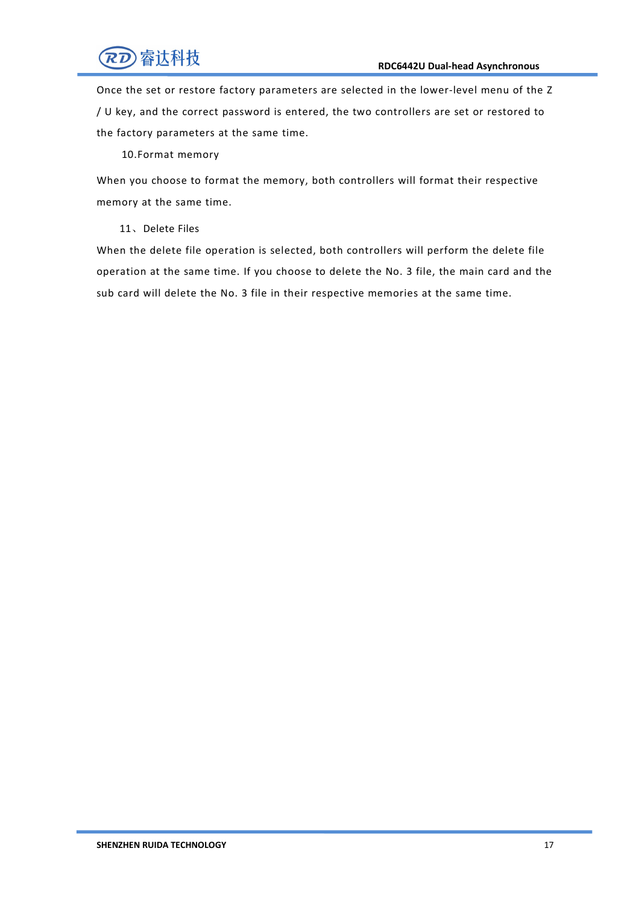

Once the set or restore factory parameters are selected in the lower-level menu of the Z / U key, and the correct password is entered, the two controllers are set or restored to the factory parameters at the same time.

10.Format memory

When you choose to format the memory, both controllers will format their respective memory at the same time.

11、Delete Files

When the delete file operation is selected, both controllers will perform the delete file operation at the same time. If you choose to delete the No. 3 file, the main card and the sub card will delete the No. 3 file in their respective memories at the same time.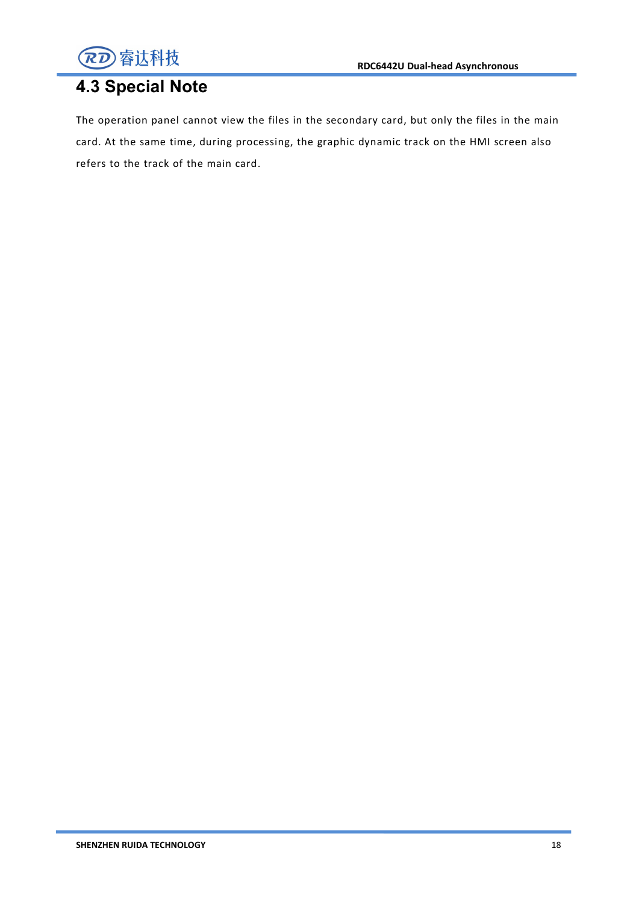

## **4.3 Special Note**

The operation panel cannot view the files in the secondary card, but only the files in the main card. At the same time, during processing, the graphic dynamic track on the HMI screen also refers to the track of the main card.